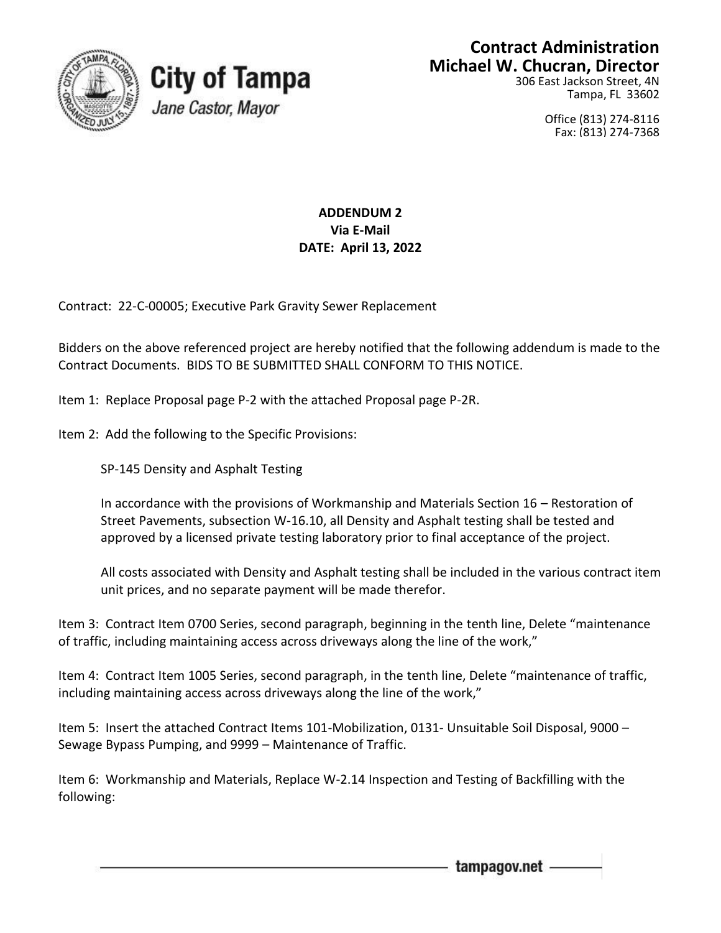



# **Contract Administration Michael W. Chucran, Director**

306 East Jackson Street, 4N Tampa, FL 33602

> Office (813) 274-8116 Fax: (813) 274-7368

# **ADDENDUM 2 Via E-Mail DATE: April 13, 2022**

Contract: 22-C-00005; Executive Park Gravity Sewer Replacement

Bidders on the above referenced project are hereby notified that the following addendum is made to the Contract Documents. BIDS TO BE SUBMITTED SHALL CONFORM TO THIS NOTICE.

Item 1: Replace Proposal page P-2 with the attached Proposal page P-2R.

Item 2: Add the following to the Specific Provisions:

SP-145 Density and Asphalt Testing

In accordance with the provisions of Workmanship and Materials Section 16 – Restoration of Street Pavements, subsection W-16.10, all Density and Asphalt testing shall be tested and approved by a licensed private testing laboratory prior to final acceptance of the project.

All costs associated with Density and Asphalt testing shall be included in the various contract item unit prices, and no separate payment will be made therefor.

Item 3: Contract Item 0700 Series, second paragraph, beginning in the tenth line, Delete "maintenance of traffic, including maintaining access across driveways along the line of the work,"

Item 4: Contract Item 1005 Series, second paragraph, in the tenth line, Delete "maintenance of traffic, including maintaining access across driveways along the line of the work,"

Item 5: Insert the attached Contract Items 101-Mobilization, 0131- Unsuitable Soil Disposal, 9000 – Sewage Bypass Pumping, and 9999 – Maintenance of Traffic.

Item 6: Workmanship and Materials, Replace W-2.14 Inspection and Testing of Backfilling with the following:

tampagov.net -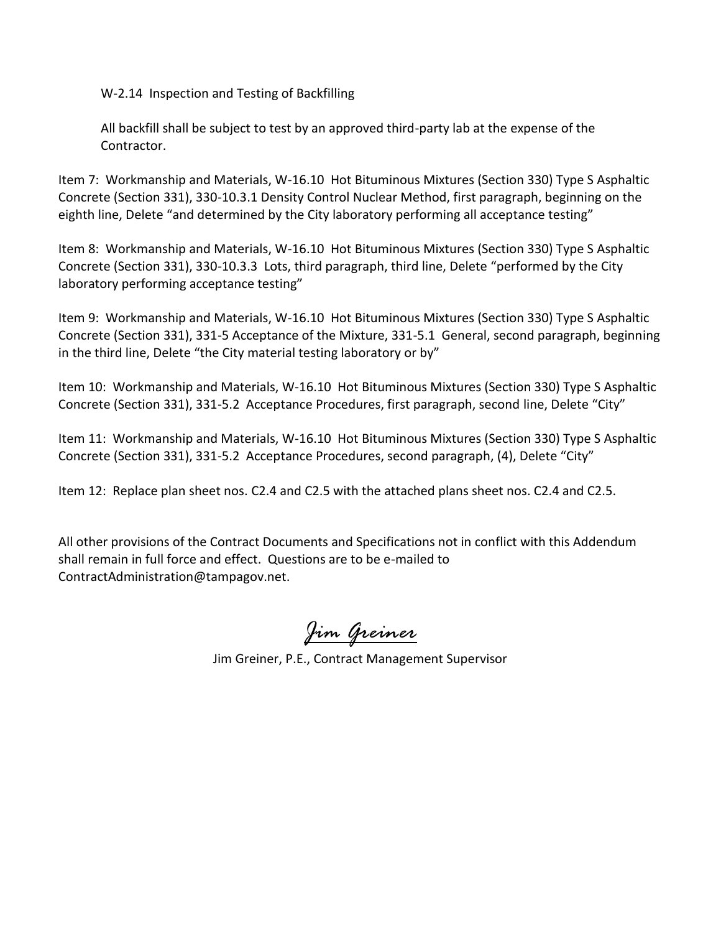W-2.14 Inspection and Testing of Backfilling

All backfill shall be subject to test by an approved third-party lab at the expense of the Contractor.

Item 7: Workmanship and Materials, W-16.10 Hot Bituminous Mixtures (Section 330) Type S Asphaltic Concrete (Section 331), 330-10.3.1 Density Control Nuclear Method, first paragraph, beginning on the eighth line, Delete "and determined by the City laboratory performing all acceptance testing"

Item 8: Workmanship and Materials, W-16.10 Hot Bituminous Mixtures (Section 330) Type S Asphaltic Concrete (Section 331), 330-10.3.3 Lots, third paragraph, third line, Delete "performed by the City laboratory performing acceptance testing"

Item 9: Workmanship and Materials, W-16.10 Hot Bituminous Mixtures (Section 330) Type S Asphaltic Concrete (Section 331), 331-5 Acceptance of the Mixture, 331-5.1 General, second paragraph, beginning in the third line, Delete "the City material testing laboratory or by"

Item 10: Workmanship and Materials, W-16.10 Hot Bituminous Mixtures (Section 330) Type S Asphaltic Concrete (Section 331), 331-5.2 Acceptance Procedures, first paragraph, second line, Delete "City"

Item 11: Workmanship and Materials, W-16.10 Hot Bituminous Mixtures (Section 330) Type S Asphaltic Concrete (Section 331), 331-5.2 Acceptance Procedures, second paragraph, (4), Delete "City"

Item 12: Replace plan sheet nos. C2.4 and C2.5 with the attached plans sheet nos. C2.4 and C2.5.

All other provisions of the Contract Documents and Specifications not in conflict with this Addendum shall remain in full force and effect. Questions are to be e-mailed to ContractAdministration@tampagov.net.

*Jim Greiner*

Jim Greiner, P.E., Contract Management Supervisor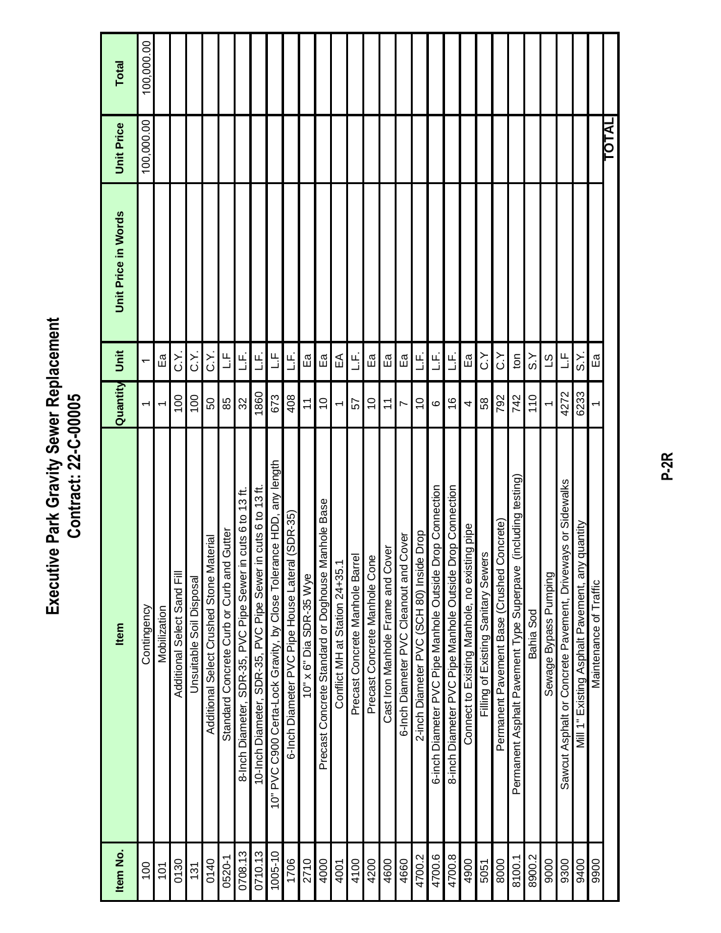| <b>Park Gravity Sewer Replacement</b><br>Contract: 22-C-00005<br>Executivo |
|----------------------------------------------------------------------------|
|----------------------------------------------------------------------------|

| Item No.    | Item                                                                     | Quantity         | Unit                     | Unit Price in Words | <b>Unit Price</b> | Total      |
|-------------|--------------------------------------------------------------------------|------------------|--------------------------|---------------------|-------------------|------------|
| 100         | Contingency                                                              |                  | $\overline{\phantom{0}}$ |                     | 100,000.00        | 100,000.00 |
| 101         | Mobilization                                                             |                  | Ea<br>E                  |                     |                   |            |
| 0130        | Additional Select Sand Fill                                              | $\overline{100}$ | .<br>ن                   |                     |                   |            |
| 131         | Jnsuitable Soil Disposal                                                 | 100              | .<br>ن                   |                     |                   |            |
| 0140        | terial<br>Additional Select Crushed Stone Ma                             | 50               | :<br>ن                   |                     |                   |            |
| 0520-1      | Gutter<br>Standard Concrete Curb or Curb and                             | 85               | ڭ                        |                     |                   |            |
| 0708.13     | cuts 6 to 13 $ft$ .<br>SDR-35, PVC Pipe Sewer in<br>8-Inch Diameter,     | $\rm 32$         | َبِ<br>تــ               |                     |                   |            |
| 0710.13     | 10-Inch Diameter, SDR-35, PVC Pipe Sewer in cuts 6 to 13 ft.             | 1860             | َبِ<br>ٺ                 |                     |                   |            |
| $1005 - 10$ | nce HDD, any length<br>10" PVC C900 Certa-Lock Gravity, by Close Tolerar | 673              | سا<br>نـــا              |                     |                   |            |
| 1706        | $(SDR-35)$<br>6-Inch Diameter PVC Pipe House Lateral                     | 408              | َبِ<br>تــ               |                     |                   |            |
| 2710        | $10" \times 6"$ Dia SDR-35 Wye                                           | $\div$           | Еã                       |                     |                   |            |
| 4000        | anhole Base<br>Precast Concrete Standard or Doghouse M                   | $\overline{0}$   | Ea<br>E                  |                     |                   |            |
| 4001        | Conflict MH at Station 24+35.1                                           | ↽                | ⊕                        |                     |                   |            |
| 4100        | Precast Concrete Manhole Barrel                                          | 55               | ن<br>ت                   |                     |                   |            |
| 4200        | Precast Concrete Manhole Cone                                            | 9                | Ea                       |                     |                   |            |
| 4600        | Cast Iron Manhole Frame and Cover                                        | $\tilde{\tau}$   | Ea<br>E                  |                     |                   |            |
| 4660        | 6-Inch Diameter PVC Cleanout and Cover                                   | Ľ                | Ea<br>E                  |                     |                   |            |
| 4700.2      | prop<br>2-inch Diameter PVC (SCH 80) Inside                              | $\overline{C}$   | َبِ<br>تـ                |                     |                   |            |
| 4700.6      | 6-inch Diameter PVC Pipe Manhole Outside Drop Connection                 | ဖ                | .<br>ٺ                   |                     |                   |            |
| 4700.8      | 8-inch Diameter PVC Pipe Manhole Outside Drop Connection                 | $\frac{6}{5}$    | نبا<br>نا                |                     |                   |            |
| 4900        | Connect to Existing Manhole, no existing pipe                            | 4                | Ea                       |                     |                   |            |
| 5051        | S.<br>Filling of Existing Sanitary Sewer                                 | 58               | $\check{\mathrm{c}}$     |                     |                   |            |
| 8000        | Permanent Pavement Base (Crushed Concrete)                               | 792              | خ                        |                     |                   |            |
| 8100.1      | (including testing)<br>Permanent Asphalt Pavement Type Superpave         | 742              | ton                      |                     |                   |            |
| 8900.2      | Bahia Sod                                                                | 110              | $\leq$                   |                     |                   |            |
| 9000        | Sewage Bypass Pumping                                                    |                  | S                        |                     |                   |            |
| 9300        | Sawcut Asphalt or Concrete Pavement, Driveways or Sidewalks              | 4272             | ٹا                       |                     |                   |            |
| 9400        | quantity<br>Mill 1" Existing Asphalt Pavement, any                       | 6233             | ર<br>ડ                   |                     |                   |            |
| 9900        | Maintenance of Traffic                                                   |                  | Еã                       |                     |                   |            |
|             |                                                                          |                  |                          |                     | TOTAL             |            |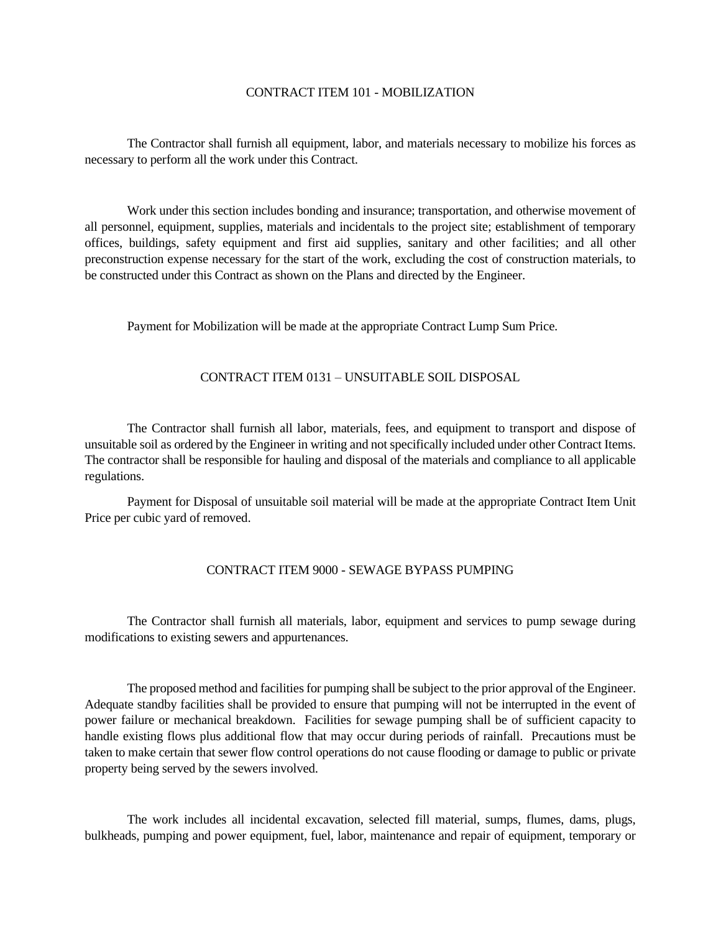#### CONTRACT ITEM 101 - MOBILIZATION

The Contractor shall furnish all equipment, labor, and materials necessary to mobilize his forces as necessary to perform all the work under this Contract.

Work under this section includes bonding and insurance; transportation, and otherwise movement of all personnel, equipment, supplies, materials and incidentals to the project site; establishment of temporary offices, buildings, safety equipment and first aid supplies, sanitary and other facilities; and all other preconstruction expense necessary for the start of the work, excluding the cost of construction materials, to be constructed under this Contract as shown on the Plans and directed by the Engineer.

Payment for Mobilization will be made at the appropriate Contract Lump Sum Price.

#### CONTRACT ITEM 0131 – UNSUITABLE SOIL DISPOSAL

The Contractor shall furnish all labor, materials, fees, and equipment to transport and dispose of unsuitable soil as ordered by the Engineer in writing and not specifically included under other Contract Items. The contractor shall be responsible for hauling and disposal of the materials and compliance to all applicable regulations.

Payment for Disposal of unsuitable soil material will be made at the appropriate Contract Item Unit Price per cubic yard of removed.

## CONTRACT ITEM 9000 - SEWAGE BYPASS PUMPING

The Contractor shall furnish all materials, labor, equipment and services to pump sewage during modifications to existing sewers and appurtenances.

The proposed method and facilities for pumping shall be subject to the prior approval of the Engineer. Adequate standby facilities shall be provided to ensure that pumping will not be interrupted in the event of power failure or mechanical breakdown. Facilities for sewage pumping shall be of sufficient capacity to handle existing flows plus additional flow that may occur during periods of rainfall. Precautions must be taken to make certain that sewer flow control operations do not cause flooding or damage to public or private property being served by the sewers involved.

The work includes all incidental excavation, selected fill material, sumps, flumes, dams, plugs, bulkheads, pumping and power equipment, fuel, labor, maintenance and repair of equipment, temporary or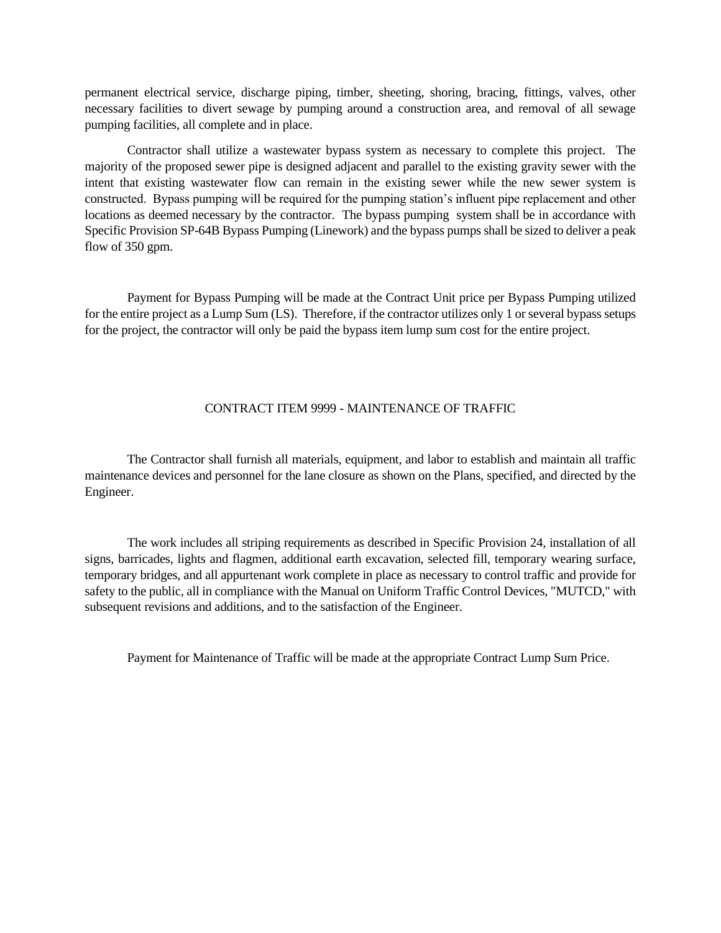permanent electrical service, discharge piping, timber, sheeting, shoring, bracing, fittings, valves, other necessary facilities to divert sewage by pumping around a construction area, and removal of all sewage pumping facilities, all complete and in place.

Contractor shall utilize a wastewater bypass system as necessary to complete this project. The majority of the proposed sewer pipe is designed adjacent and parallel to the existing gravity sewer with the intent that existing wastewater flow can remain in the existing sewer while the new sewer system is constructed. Bypass pumping will be required for the pumping station's influent pipe replacement and other locations as deemed necessary by the contractor. The bypass pumping system shall be in accordance with Specific Provision SP-64B Bypass Pumping (Linework) and the bypass pumps shall be sized to deliver a peak flow of 350 gpm.

Payment for Bypass Pumping will be made at the Contract Unit price per Bypass Pumping utilized for the entire project as a Lump Sum (LS). Therefore, if the contractor utilizes only 1 or several bypass setups for the project, the contractor will only be paid the bypass item lump sum cost for the entire project.

## CONTRACT ITEM 9999 - MAINTENANCE OF TRAFFIC

The Contractor shall furnish all materials, equipment, and labor to establish and maintain all traffic maintenance devices and personnel for the lane closure as shown on the Plans, specified, and directed by the Engineer.

The work includes all striping requirements as described in Specific Provision 24, installation of all signs, barricades, lights and flagmen, additional earth excavation, selected fill, temporary wearing surface, temporary bridges, and all appurtenant work complete in place as necessary to control traffic and provide for safety to the public, all in compliance with the Manual on Uniform Traffic Control Devices, "MUTCD," with subsequent revisions and additions, and to the satisfaction of the Engineer.

Payment for Maintenance of Traffic will be made at the appropriate Contract Lump Sum Price.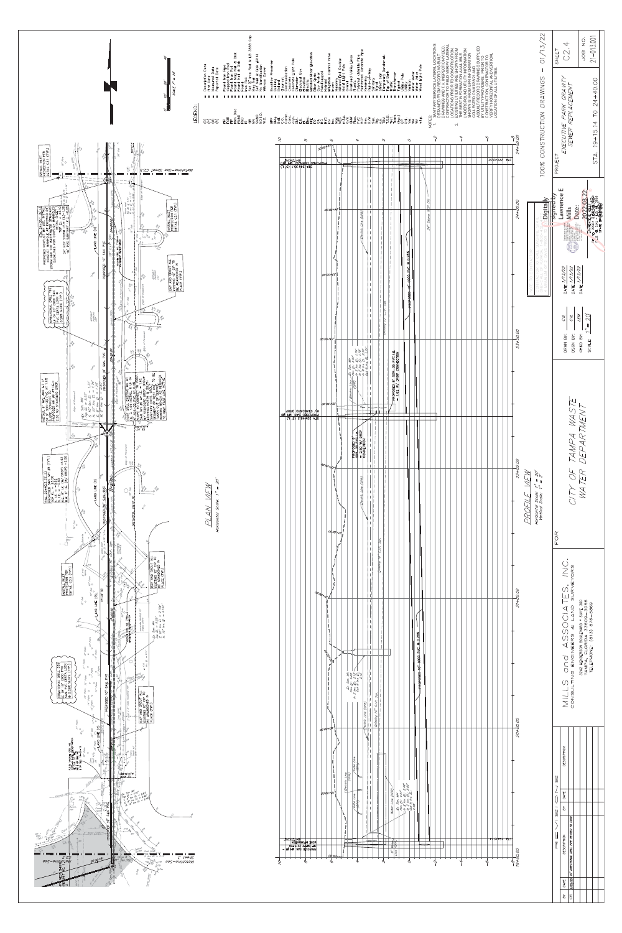

| ) 7 - )) - )<br>) - )<br>/ - | <b>DESCRIPTION</b> |                                            |  |  |  |
|------------------------------|--------------------|--------------------------------------------|--|--|--|
|                              | BY   DATE          |                                            |  |  |  |
|                              |                    |                                            |  |  |  |
|                              | DESCRIPTION        | 10" DIRECTIONAL DRILL PIPE REVISED TO C900 |  |  |  |
|                              | DATE               | CVL 3/22/22                                |  |  |  |
|                              | BY                 |                                            |  |  |  |